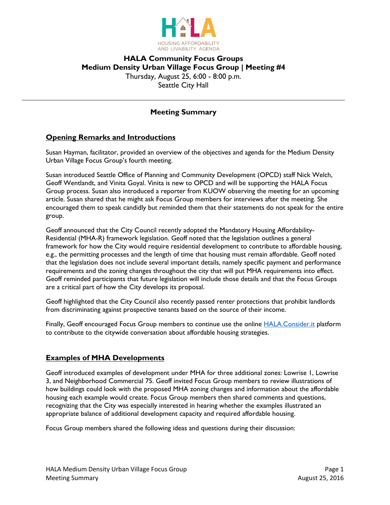

# **HALA Community Focus Groups Medium Density Urban Village Focus Group | Meeting #4** Thursday, August 25, 6:00 - 8:00 p.m. Seattle City Hall

## **Meeting Summary**

### **Opening Remarks and Introductions**

Susan Hayman, facilitator, provided an overview of the objectives and agenda for the Medium Density Urban Village Focus Group's fourth meeting.

Susan introduced Seattle Office of Planning and Community Development (OPCD) staff Nick Welch, Geoff Wentlandt, and Vinita Goyal. Vinita is new to OPCD and will be supporting the HALA Focus Group process. Susan also introduced a reporter from KUOW observing the meeting for an upcoming article. Susan shared that he might ask Focus Group members for interviews after the meeting. She encouraged them to speak candidly but reminded them that their statements do not speak for the entire group.

Geoff announced that the City Council recently adopted the Mandatory Housing Affordability-Residential (MHA-R) framework legislation. Geoff noted that the legislation outlines a general framework for how the City would require residential development to contribute to affordable housing, e.g., the permitting processes and the length of time that housing must remain affordable. Geoff noted that the legislation does not include several important details, namely specific payment and performance requirements and the zoning changes throughout the city that will put MHA requirements into effect. Geoff reminded participants that future legislation will include those details and that the Focus Groups are a critical part of how the City develops its proposal.

Geoff highlighted that the City Council also recently passed renter protections that prohibit landlords from discriminating against prospective tenants based on the source of their income.

Finally, Geoff encouraged Focus Group members to continue use the online [HALA.Consider.it](https://hala.consider.it/) platform to contribute to the citywide conversation about affordable housing strategies.

### **Examples of MHA Developments**

Geoff introduced examples of development under MHA for three additional zones: Lowrise 1, Lowrise 3, and Neighborhood Commercial 75. Geoff invited Focus Group members to review illustrations of how buildings could look with the proposed MHA zoning changes and information about the affordable housing each example would create. Focus Group members then shared comments and questions, recognizing that the City was especially interested in hearing whether the examples illustrated an appropriate balance of additional development capacity and required affordable housing.

Focus Group members shared the following ideas and questions during their discussion: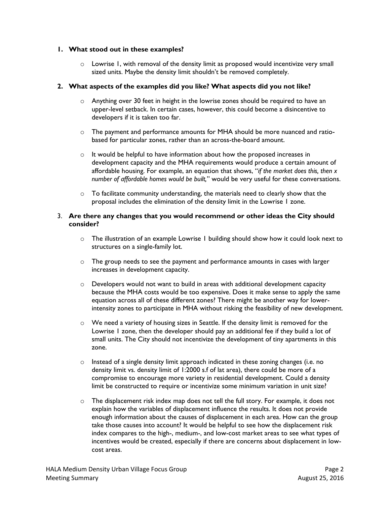#### **1. What stood out in these examples?**

 $\circ$  Lowrise 1, with removal of the density limit as proposed would incentivize very small sized units. Maybe the density limit shouldn't be removed completely.

#### **2. What aspects of the examples did you like? What aspects did you not like?**

- $\circ$  Anything over 30 feet in height in the lowrise zones should be required to have an upper-level setback. In certain cases, however, this could become a disincentive to developers if it is taken too far.
- o The payment and performance amounts for MHA should be more nuanced and ratiobased for particular zones, rather than an across-the-board amount.
- o It would be helpful to have information about how the proposed increases in development capacity and the MHA requirements would produce a certain amount of affordable housing. For example, an equation that shows, "*if the market does this, then x number of affordable homes would be built,*" would be very useful for these conversations.
- $\circ$  To facilitate community understanding, the materials need to clearly show that the proposal includes the elimination of the density limit in the Lowrise 1 zone.

#### 3. **Are there any changes that you would recommend or other ideas the City should consider?**

- $\circ$  The illustration of an example Lowrise 1 building should show how it could look next to structures on a single-family lot.
- $\circ$  The group needs to see the payment and performance amounts in cases with larger increases in development capacity.
- $\circ$  Developers would not want to build in areas with additional development capacity because the MHA costs would be too expensive. Does it make sense to apply the same equation across all of these different zones? There might be another way for lowerintensity zones to participate in MHA without risking the feasibility of new development.
- $\circ$  We need a variety of housing sizes in Seattle. If the density limit is removed for the Lowrise 1 zone, then the developer should pay an additional fee if they build a lot of small units. The City should not incentivize the development of tiny apartments in this zone.
- $\circ$  Instead of a single density limit approach indicated in these zoning changes (i.e. no density limit vs. density limit of 1:2000 s.f of lat area), there could be more of a compromise to encourage more variety in residential development. Could a density limit be constructed to require or incentivize some minimum variation in unit size?
- $\circ$  The displacement risk index map does not tell the full story. For example, it does not explain how the variables of displacement influence the results. It does not provide enough information about the causes of displacement in each area. How can the group take those causes into account? It would be helpful to see how the displacement risk index compares to the high-, medium-, and low-cost market areas to see what types of incentives would be created, especially if there are concerns about displacement in lowcost areas.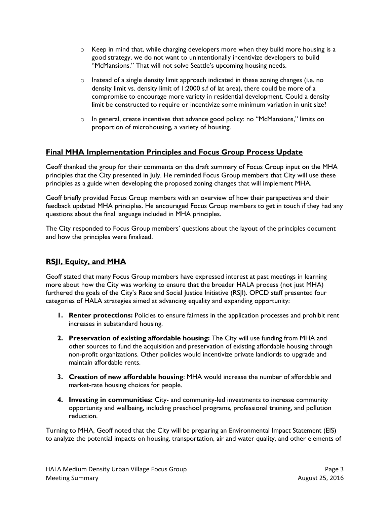- $\circ$  Keep in mind that, while charging developers more when they build more housing is a good strategy, we do not want to unintentionally incentivize developers to build "McMansions." That will not solve Seattle's upcoming housing needs.
- $\circ$  Instead of a single density limit approach indicated in these zoning changes (i.e. no density limit vs. density limit of 1:2000 s.f of lat area), there could be more of a compromise to encourage more variety in residential development. Could a density limit be constructed to require or incentivize some minimum variation in unit size?
- $\circ$  In general, create incentives that advance good policy: no "McMansions," limits on proportion of microhousing, a variety of housing.

## **Final MHA Implementation Principles and Focus Group Process Update**

Geoff thanked the group for their comments on the draft summary of Focus Group input on the MHA principles that the City presented in July. He reminded Focus Group members that City will use these principles as a guide when developing the proposed zoning changes that will implement MHA.

Geoff briefly provided Focus Group members with an overview of how their perspectives and their feedback updated MHA principles. He encouraged Focus Group members to get in touch if they had any questions about the final language included in MHA principles.

The City responded to Focus Group members' questions about the layout of the principles document and how the principles were finalized.

# **RSJI, Equity, and MHA**

Geoff stated that many Focus Group members have expressed interest at past meetings in learning more about how the City was working to ensure that the broader HALA process (not just MHA) furthered the goals of the City's Race and Social Justice Initiative (RSJI). OPCD staff presented four categories of HALA strategies aimed at advancing equality and expanding opportunity:

- **1. Renter protections:** Policies to ensure fairness in the application processes and prohibit rent increases in substandard housing.
- **2. Preservation of existing affordable housing:** The City will use funding from MHA and other sources to fund the acquisition and preservation of existing affordable housing through non-profit organizations. Other policies would incentivize private landlords to upgrade and maintain affordable rents.
- **3. Creation of new affordable housing**: MHA would increase the number of affordable and market-rate housing choices for people.
- **4. Investing in communities:** City- and community-led investments to increase community opportunity and wellbeing, including preschool programs, professional training, and pollution reduction.

Turning to MHA, Geoff noted that the City will be preparing an Environmental Impact Statement (EIS) to analyze the potential impacts on housing, transportation, air and water quality, and other elements of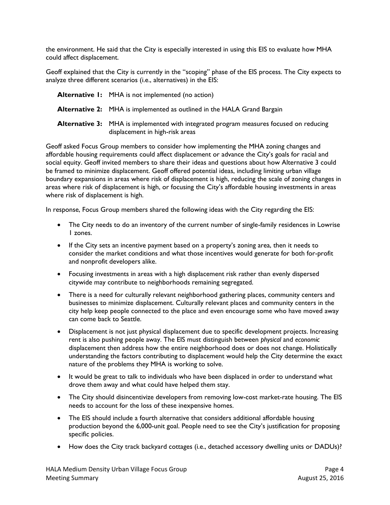the environment. He said that the City is especially interested in using this EIS to evaluate how MHA could affect displacement.

Geoff explained that the City is currently in the "scoping" phase of the EIS process. The City expects to analyze three different scenarios (i.e., alternatives) in the EIS:

| <b>Alternative I:</b> MHA is not implemented (no action)                                                                  |
|---------------------------------------------------------------------------------------------------------------------------|
| <b>Alternative 2:</b> MHA is implemented as outlined in the HALA Grand Bargain                                            |
| Alternative 3: MHA is implemented with integrated program measures focused on reducing<br>displacement in high-risk areas |

Geoff asked Focus Group members to consider how implementing the MHA zoning changes and affordable housing requirements could affect displacement or advance the City's goals for racial and social equity. Geoff invited members to share their ideas and questions about how Alternative 3 could be framed to minimize displacement. Geoff offered potential ideas, including limiting urban village boundary expansions in areas where risk of displacement is high, reducing the scale of zoning changes in areas where risk of displacement is high, or focusing the City's affordable housing investments in areas where risk of displacement is high.

In response, Focus Group members shared the following ideas with the City regarding the EIS:

- The City needs to do an inventory of the current number of single-family residences in Lowrise 1 zones.
- If the City sets an incentive payment based on a property's zoning area, then it needs to consider the market conditions and what those incentives would generate for both for-profit and nonprofit developers alike.
- Focusing investments in areas with a high displacement risk rather than evenly dispersed citywide may contribute to neighborhoods remaining segregated.
- There is a need for culturally relevant neighborhood gathering places, community centers and businesses to minimize displacement. Culturally relevant places and community centers in the city help keep people connected to the place and even encourage some who have moved away can come back to Seattle.
- Displacement is not just physical displacement due to specific development projects. Increasing rent is also pushing people away. The EIS must distinguish between *physical* and *economic* displacement then address how the entire neighborhood does or does not change. Holistically understanding the factors contributing to displacement would help the City determine the exact nature of the problems they MHA is working to solve.
- It would be great to talk to individuals who have been displaced in order to understand what drove them away and what could have helped them stay.
- The City should disincentivize developers from removing low-cost market-rate housing. The EIS needs to account for the loss of these inexpensive homes.
- The EIS should include a fourth alternative that considers additional affordable housing production beyond the 6,000-unit goal. People need to see the City's justification for proposing specific policies.
- How does the City track backyard cottages (i.e., detached accessory dwelling units or DADUs)?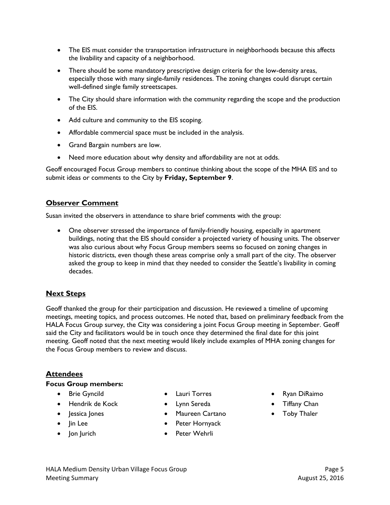- The EIS must consider the transportation infrastructure in neighborhoods because this affects the livability and capacity of a neighborhood.
- There should be some mandatory prescriptive design criteria for the low-density areas, especially those with many single-family residences. The zoning changes could disrupt certain well-defined single family streetscapes.
- The City should share information with the community regarding the scope and the production of the EIS.
- Add culture and community to the EIS scoping.
- Affordable commercial space must be included in the analysis.
- Grand Bargain numbers are low.
- Need more education about why density and affordability are not at odds.

Geoff encouraged Focus Group members to continue thinking about the scope of the MHA EIS and to submit ideas or comments to the City by **Friday, September 9**.

## **Observer Comment**

Susan invited the observers in attendance to share brief comments with the group:

 One observer stressed the importance of family-friendly housing, especially in apartment buildings, noting that the EIS should consider a projected variety of housing units. The observer was also curious about why Focus Group members seems so focused on zoning changes in historic districts, even though these areas comprise only a small part of the city. The observer asked the group to keep in mind that they needed to consider the Seattle's livability in coming decades.

# **Next Steps**

Geoff thanked the group for their participation and discussion. He reviewed a timeline of upcoming meetings, meeting topics, and process outcomes. He noted that, based on preliminary feedback from the HALA Focus Group survey, the City was considering a joint Focus Group meeting in September. Geoff said the City and facilitators would be in touch once they determined the final date for this joint meeting. Geoff noted that the next meeting would likely include examples of MHA zoning changes for the Focus Group members to review and discuss.

## **Attendees**

#### **Focus Group members:**

- **•** Brie Gyncild
- Hendrik de Kock
- Jessica Jones
- $\bullet$   $\bullet$  lin Lee
- $\bullet$  Jon Jurich
- Lauri Torres
- Lynn Sereda
- Maureen Cartano
- Peter Hornyack
- Peter Wehrli
- Ryan DiRaimo
- **•** Tiffany Chan
- Toby Thaler